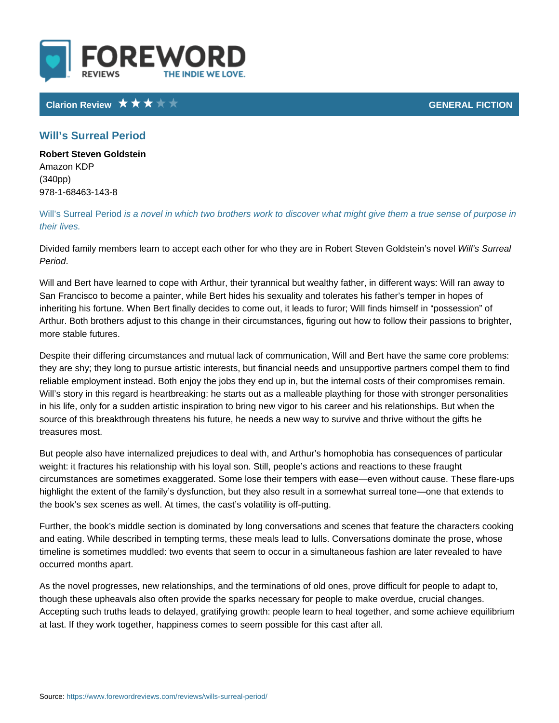## Clarion Review Clarion Review GENERAL FICTION CONTRACTED AT A SERVICE SERVICE OF A SERVICE SERVICE OF A SERVICE STATE OF A SERVICE SERVICE OF A SERVICE STATE OF A SERVICE STATE OF A SERVICE STATE OF A SERVICE STATE OF A SE

## Will s Surreal Period

Robert Steven Goldstein Amazon KDP (340pp) 978-1-68463-143-8

Will s Surrealis **Pericod** el in which two brothers work to discover what might give their lives.

Divided family members learn to accept each other for who they While isn SRuorbeatl S Period .

Will and Bert have learned to cope with Arthur, their tyrannical but wealthy fatl San Francisco to become a painter, while Bert hides his sexuality and tolerates inheriting his fortune. When Bert finally decides to come out, it leads to furor; Arthur. Both brothers adjust to this change in their circumstances, figuring out more stable futures.

Despite their differing circumstances and mutual lack of communication, Will ar they are shy; they long to pursue artistic interests, but financial needs and uns reliable employment instead. Both enjoy the jobs they end up in, but the interna Will s story in this regard is heartbreaking: he starts out as a malleable playth in his life, only for a sudden artistic inspiration to bring new vigor to his caree source of this breakthrough threatens his future, he needs a new way to survive treasures most.

But people also have internalized prejudices to deal with, and Arthur s homopho weight: it fractures his relationship with his loyal son. Still, people s actions a circumstances are sometimes exaggerated. Some lose their tempers with ease e highlight the extent of the family s dysfunction, but they also result in a somew the book s sex scenes as well. At times, the cast s volatility is off-putting.

Further, the book s middle section is dominated by long conversations and scer and eating. While described in tempting terms, these meals lead to lulls. Conve timeline is sometimes muddled: two events that seem to occur in a simultaneous occurred months apart.

As the novel progresses, new relationships, and the terminations of old ones, p though these upheavals also often provide the sparks necessary for people to m Accepting such truths leads to delayed, gratifying growth: people learn to heal at last. If they work together, happiness comes to seem possible for this cast a